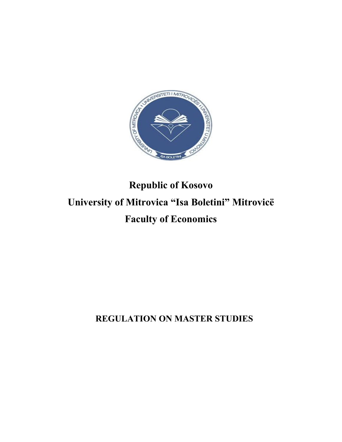

# **Republic of Kosovo University of Mitrovica "Isa Boletini" Mitrovicë Faculty of Economics**

 **REGULATION ON MASTER STUDIES**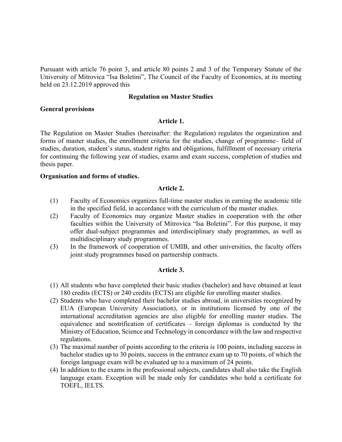Pursuant with article 76 point 3, and article 80 points 2 and 3 of the Temporary Statute of the University of Mitrovica "Isa Boletini", The Council of the Faculty of Economics, at its meeting held on 23.12.2019 approved this

## **Regulation on Master Studies**

## **General provisions**

## **Article 1.**

The Regulation on Master Studies (hereinafter: the Regulation) regulates the organization and forms of master studies, the enrollment criteria for the studies, change of programme– field of studies, duration, student's status, student rights and obligations, fulfillment of necessary criteria for continuing the following year of studies, exams and exam success, completion of studies and thesis paper.

## **Organisation and forms of studies.**

#### **Article 2.**

- (1) Faculty of Economics organizes full-time master studies in earning the academic title in the specified field, in accordance with the curriculum of the master studies.
- (2) Faculty of Economics may organize Master studies in cooperation with the other faculties within the University of Mitrovica "Isa Boletini". For this purpose, it may offer dual-subject programmes and interdisciplinary study programmes, as well as multidisciplinary study programmes.
- (3) In the framework of cooperation of UMIB, and other universities, the faculty offers joint study programmes based on partnership contracts.

# **Article 3.**

- (1) All students who have completed their basic studies (bachelor) and have obtained at least 180 credits (ECTS) or 240 credits (ECTS) are eligible for enrolling master studies.
- (2) Students who have completed their bachelor studies abroad, in universities recognized by EUA (European University Association), or in institutions licensed by one of the international accreditation agencies are also eligible for enrolling master studies. The equivalence and nostrification of certificates – foreign diplomas is conducted by the Ministry of Education, Science and Technology in concordance with the law and respective regulations.
- (3) The maximal number of points according to the criteria is 100 points, including success in bachelor studies up to 30 points, success in the entrance exam up to 70 points, of which the foreign language exam will be evaluated up to a maximum of 24 points.
- (4) In addition to the exams in the professional subjects, candidates shall also take the English language exam. Exception will be made only for candidates who hold a certificate for TOEFL, IELTS.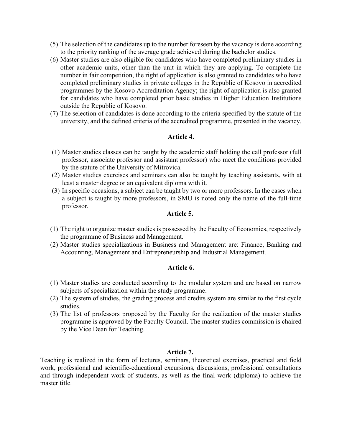- (5) The selection of the candidates up to the number foreseen by the vacancy is done according to the priority ranking of the average grade achieved during the bachelor studies.
- (6) Master studies are also eligible for candidates who have completed preliminary studies in other academic units, other than the unit in which they are applying. To complete the number in fair competition, the right of application is also granted to candidates who have completed preliminary studies in private colleges in the Republic of Kosovo in accredited programmes by the Kosovo Accreditation Agency; the right of application is also granted for candidates who have completed prior basic studies in Higher Education Institutions outside the Republic of Kosovo.
- (7) The selection of candidates is done according to the criteria specified by the statute of the university, and the defined criteria of the accredited programme, presented in the vacancy.

# **Article 4.**

- (1) Master studies classes can be taught by the academic staff holding the call professor (full professor, associate professor and assistant professor) who meet the conditions provided by the statute of the University of Mitrovica.
- (2) Master studies exercises and seminars can also be taught by teaching assistants, with at least a master degree or an equivalent diploma with it.
- (3) In specific occasions, a subject can be taught by two or more professors. In the cases when a subject is taught by more professors, in SMU is noted only the name of the full-time professor.

## **Article 5.**

- (1) The right to organize master studies is possessed by the Faculty of Economics, respectively the programme of Business and Management.
- (2) Master studies specializations in Business and Management are: Finance, Banking and Accounting, Management and Entrepreneurship and Industrial Management.

# **Article 6.**

- (1) Master studies are conducted according to the modular system and are based on narrow subjects of specialization within the study programme.
- (2) The system of studies, the grading process and credits system are similar to the first cycle studies.
- (3) The list of professors proposed by the Faculty for the realization of the master studies programme is approved by the Faculty Council. The master studies commission is chaired by the Vice Dean for Teaching.

#### **Article 7.**

Teaching is realized in the form of lectures, seminars, theoretical exercises, practical and field work, professional and scientific-educational excursions, discussions, professional consultations and through independent work of students, as well as the final work (diploma) to achieve the master title.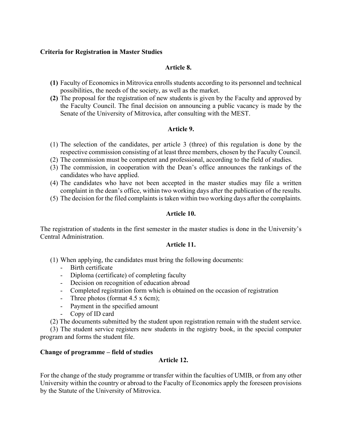# **Criteria for Registration in Master Studies**

# **Article 8.**

- **(1)** Faculty of Economics in Mitrovica enrolls students according to its personnel and technical possibilities, the needs of the society, as well as the market.
- **(2)** The proposal for the registration of new students is given by the Faculty and approved by the Faculty Council. The final decision on announcing a public vacancy is made by the Senate of the University of Mitrovica, after consulting with the MEST.

# **Article 9.**

- (1) The selection of the candidates, per article 3 (three) of this regulation is done by the respective commission consisting of at least three members, chosen by the Faculty Council.
- (2) The commission must be competent and professional, according to the field of studies.
- (3) The commission, in cooperation with the Dean's office announces the rankings of the candidates who have applied.
- (4) The candidates who have not been accepted in the master studies may file a written complaint in the dean's office, within two working days after the publication of the results.
- (5) The decision for the filed complaints is taken within two working days after the complaints.

# **Article 10.**

The registration of students in the first semester in the master studies is done in the University's Central Administration.

# **Article 11.**

(1) When applying, the candidates must bring the following documents:

- Birth certificate
- Diploma (certificate) of completing faculty
- Decision on recognition of education abroad
- Completed registration form which is obtained on the occasion of registration
- Three photos (format 4.5 x 6cm);
- Payment in the specified amount
- Copy of ID card
- (2) The documents submitted by the student upon registration remain with the student service.

 (3) The student service registers new students in the registry book, in the special computer program and forms the student file.

# **Change of programme – field of studies**

# **Article 12.**

For the change of the study programme or transfer within the faculties of UMIB, or from any other University within the country or abroad to the Faculty of Economics apply the foreseen provisions by the Statute of the University of Mitrovica.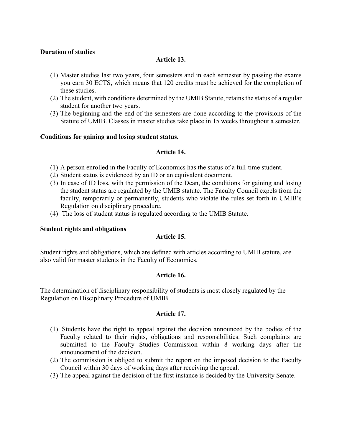# **Duration of studies**

# **Article 13.**

- (1) Master studies last two years, four semesters and in each semester by passing the exams you earn 30 ECTS, which means that 120 credits must be achieved for the completion of these studies.
- (2) The student, with conditions determined by the UMIB Statute, retains the status of a regular student for another two years.
- (3) The beginning and the end of the semesters are done according to the provisions of the Statute of UMIB. Classes in master studies take place in 15 weeks throughout a semester.

# **Conditions for gaining and losing student status.**

## **Article 14.**

- (1) A person enrolled in the Faculty of Economics has the status of a full-time student.
- (2) Student status is evidenced by an ID or an equivalent document.
- (3) In case of ID loss, with the permission of the Dean, the conditions for gaining and losing the student status are regulated by the UMIB statute. The Faculty Council expels from the faculty, temporarily or permanently, students who violate the rules set forth in UMIB's Regulation on disciplinary procedure.
- (4) The loss of student status is regulated according to the UMIB Statute.

#### **Student rights and obligations**

# **Article 15.**

Student rights and obligations, which are defined with articles according to UMIB statute, are also valid for master students in the Faculty of Economics.

#### **Article 16.**

The determination of disciplinary responsibility of students is most closely regulated by the Regulation on Disciplinary Procedure of UMIB.

#### **Article 17.**

- (1) Students have the right to appeal against the decision announced by the bodies of the Faculty related to their rights, obligations and responsibilities. Such complaints are submitted to the Faculty Studies Commission within 8 working days after the announcement of the decision.
- (2) The commission is obliged to submit the report on the imposed decision to the Faculty Council within 30 days of working days after receiving the appeal.
- (3) The appeal against the decision of the first instance is decided by the University Senate.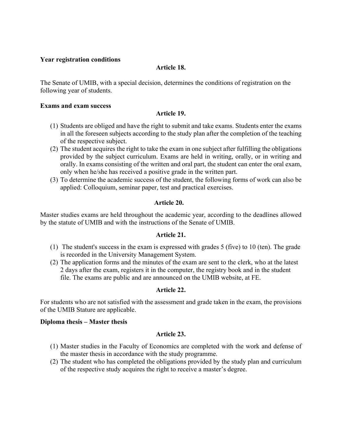## **Year registration conditions**

## **Article 18.**

The Senate of UMIB, with a special decision, determines the conditions of registration on the following year of students.

### **Exams and exam success**

## **Article 19.**

- (1) Students are obliged and have the right to submit and take exams. Students enter the exams in all the foreseen subjects according to the study plan after the completion of the teaching of the respective subject.
- (2) The student acquires the right to take the exam in one subject after fulfilling the obligations provided by the subject curriculum. Exams are held in writing, orally, or in writing and orally. In exams consisting of the written and oral part, the student can enter the oral exam, only when he/she has received a positive grade in the written part.
- (3) To determine the academic success of the student, the following forms of work can also be applied: Colloquium, seminar paper, test and practical exercises.

## **Article 20.**

Master studies exams are held throughout the academic year, according to the deadlines allowed by the statute of UMIB and with the instructions of the Senate of UMIB.

#### **Article 21.**

- (1) The student's success in the exam is expressed with grades 5 (five) to 10 (ten). The grade is recorded in the University Management System.
- (2) The application forms and the minutes of the exam are sent to the clerk, who at the latest 2 days after the exam, registers it in the computer, the registry book and in the student file. The exams are public and are announced on the UMIB website, at FE.

# **Article 22.**

For students who are not satisfied with the assessment and grade taken in the exam, the provisions of the UMIB Stature are applicable.

#### **Diploma thesis – Master thesis**

#### **Article 23.**

- (1) Master studies in the Faculty of Economics are completed with the work and defense of the master thesis in accordance with the study programme.
- (2) The student who has completed the obligations provided by the study plan and curriculum of the respective study acquires the right to receive a master's degree.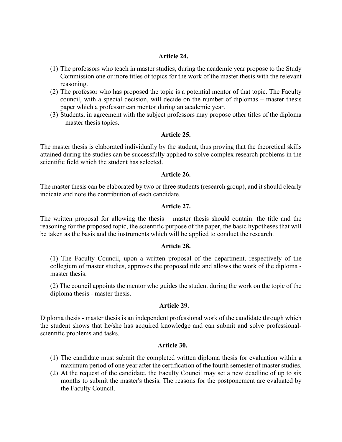## **Article 24.**

- (1) The professors who teach in master studies, during the academic year propose to the Study Commission one or more titles of topics for the work of the master thesis with the relevant reasoning.
- (2) The professor who has proposed the topic is a potential mentor of that topic. The Faculty council, with a special decision, will decide on the number of diplomas – master thesis paper which a professor can mentor during an academic year.
- (3) Students, in agreement with the subject professors may propose other titles of the diploma – master thesis topics.

## **Article 25.**

The master thesis is elaborated individually by the student, thus proving that the theoretical skills attained during the studies can be successfully applied to solve complex research problems in the scientific field which the student has selected.

#### **Article 26.**

The master thesis can be elaborated by two or three students (research group), and it should clearly indicate and note the contribution of each candidate.

## **Article 27.**

The written proposal for allowing the thesis – master thesis should contain: the title and the reasoning for the proposed topic, the scientific purpose of the paper, the basic hypotheses that will be taken as the basis and the instruments which will be applied to conduct the research.

#### **Article 28.**

(1) The Faculty Council, upon a written proposal of the department, respectively of the collegium of master studies, approves the proposed title and allows the work of the diploma master thesis.

(2) The council appoints the mentor who guides the student during the work on the topic of the diploma thesis - master thesis.

#### **Article 29.**

Diploma thesis - master thesis is an independent professional work of the candidate through which the student shows that he/she has acquired knowledge and can submit and solve professionalscientific problems and tasks.

# **Article 30.**

- (1) The candidate must submit the completed written diploma thesis for evaluation within a maximum period of one year after the certification of the fourth semester of master studies.
- (2) At the request of the candidate, the Faculty Council may set a new deadline of up to six months to submit the master's thesis. The reasons for the postponement are evaluated by the Faculty Council.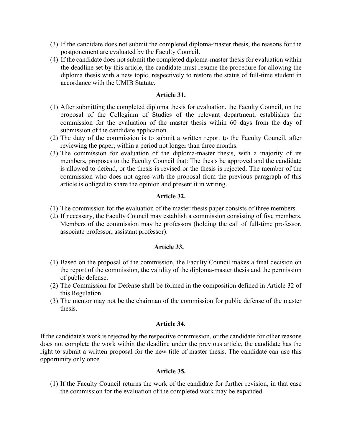- (3) If the candidate does not submit the completed diploma-master thesis, the reasons for the postponement are evaluated by the Faculty Council.
- (4) If the candidate does not submit the completed diploma-master thesis for evaluation within the deadline set by this article, the candidate must resume the procedure for allowing the diploma thesis with a new topic, respectively to restore the status of full-time student in accordance with the UMIB Statute.

## **Article 31.**

- (1) After submitting the completed diploma thesis for evaluation, the Faculty Council, on the proposal of the Collegium of Studies of the relevant department, establishes the commission for the evaluation of the master thesis within 60 days from the day of submission of the candidate application.
- (2) The duty of the commission is to submit a written report to the Faculty Council, after reviewing the paper, within a period not longer than three months.
- (3) The commission for evaluation of the diploma-master thesis, with a majority of its members, proposes to the Faculty Council that: The thesis be approved and the candidate is allowed to defend, or the thesis is revised or the thesis is rejected. The member of the commission who does not agree with the proposal from the previous paragraph of this article is obliged to share the opinion and present it in writing.

# **Article 32.**

- (1) The commission for the evaluation of the master thesis paper consists of three members.
- (2) If necessary, the Faculty Council may establish a commission consisting of five members. Members of the commission may be professors (holding the call of full-time professor, associate professor, assistant professor).

# **Article 33.**

- (1) Based on the proposal of the commission, the Faculty Council makes a final decision on the report of the commission, the validity of the diploma-master thesis and the permission of public defense.
- (2) The Commission for Defense shall be formed in the composition defined in Article 32 of this Regulation.
- (3) The mentor may not be the chairman of the commission for public defense of the master thesis.

#### **Article 34.**

If the candidate's work is rejected by the respective commission, or the candidate for other reasons does not complete the work within the deadline under the previous article, the candidate has the right to submit a written proposal for the new title of master thesis. The candidate can use this opportunity only once.

# **Article 35.**

(1) If the Faculty Council returns the work of the candidate for further revision, in that case the commission for the evaluation of the completed work may be expanded.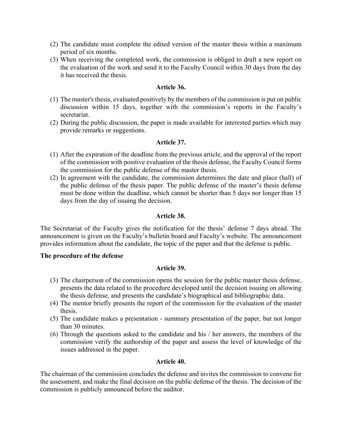- (2) The candidate must complete the edited version of the master thesis within a maximum period of six months.
- (3) When receiving the completed work, the commission is obliged to draft a new report on the evaluation of the work and send it to the Faculty Council within 30 days from the day it has received the thesis.

# **Article 36.**

- (1) The master's thesis, evaluated positively by the members of the commission is put on public discussion within 15 days, together with the commission's reports in the Faculty's secretariat.
- (2) During the public discussion, the paper is made available for interested parties which may provide remarks or suggestions.

## **Article 37.**

- (1) After the expiration of the deadline from the previous article, and the approval of the report of the commission with positive evaluation of the thesis defense, the Faculty Council forms the commission for the public defense of the master thesis.
- (2) In agreement with the candidate, the commission determines the date and place (hall) of the public defense of the thesis paper. The public defense of the master's thesis defense must be done within the deadline, which cannot be shorter than 5 days nor longer than 15 days from the day of issuing the decision.

## **Article 38.**

The Secretariat of the Faculty gives the notification for the thesis' defense 7 days ahead. The announcement is given on the Faculty's bulletin board and Faculty's website. The announcement provides information about the candidate, the topic of the paper and that the defense is public.

#### **The procedure of the defense**

#### **Article 39.**

- (3) The chairperson of the commission opens the session for the public master thesis defense, presents the data related to the procedure developed until the decision issuing on allowing the thesis defense, and presents the candidate's biographical and bibliographic data.
- (4) The mentor briefly presents the report of the commission for the evaluation of the master thesis.
- (5) The candidate makes a presentation summary presentation of the paper, but not longer than 30 minutes.
- (6) Through the questions asked to the candidate and his / her answers, the members of the commission verify the authorship of the paper and assess the level of knowledge of the issues addressed in the paper.

#### **Article 40.**

The chairman of the commission concludes the defense and invites the commission to convene for the assessment, and make the final decision on the public defense of the thesis. The decision of the commission is publicly announced before the auditor.